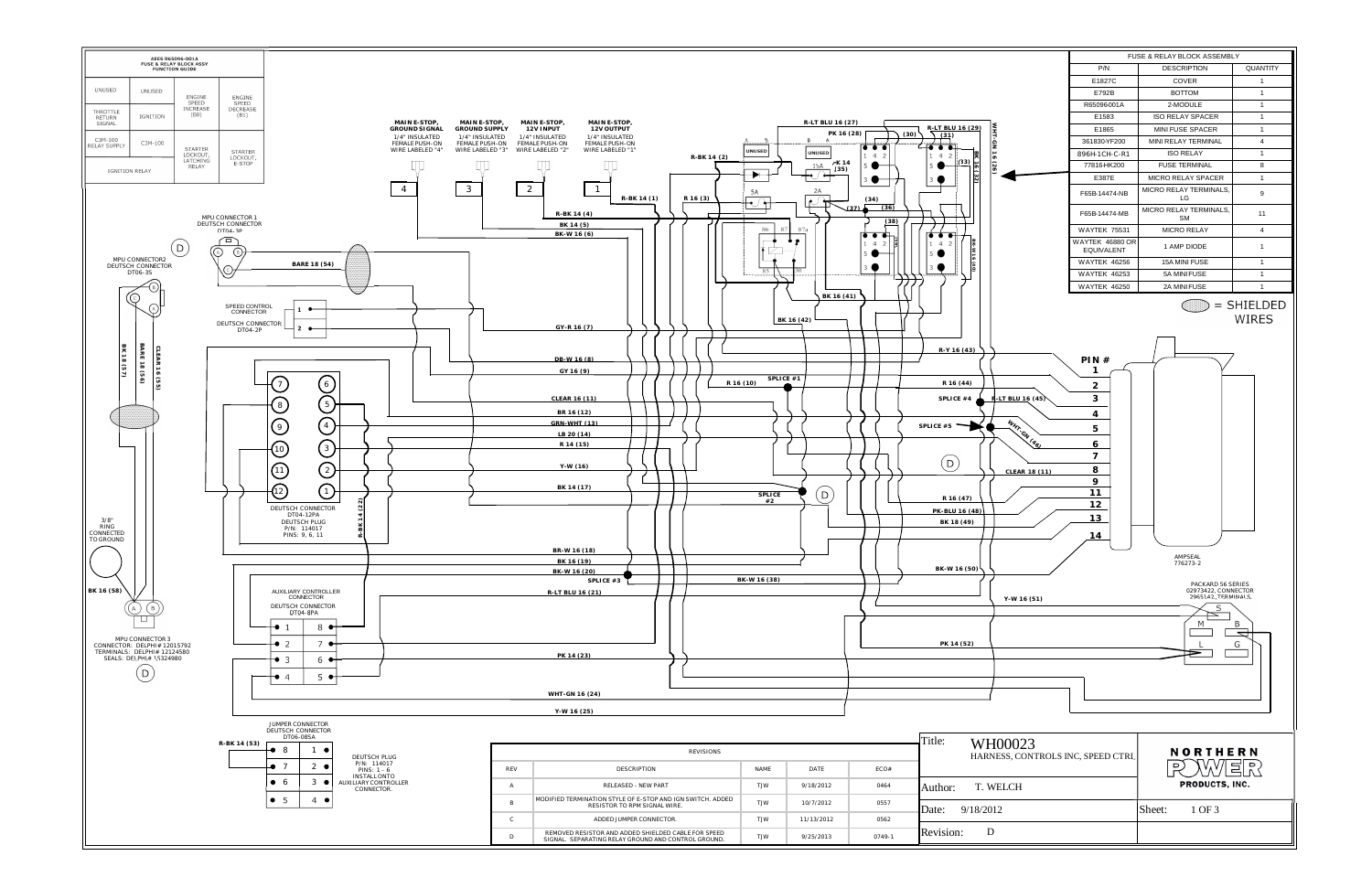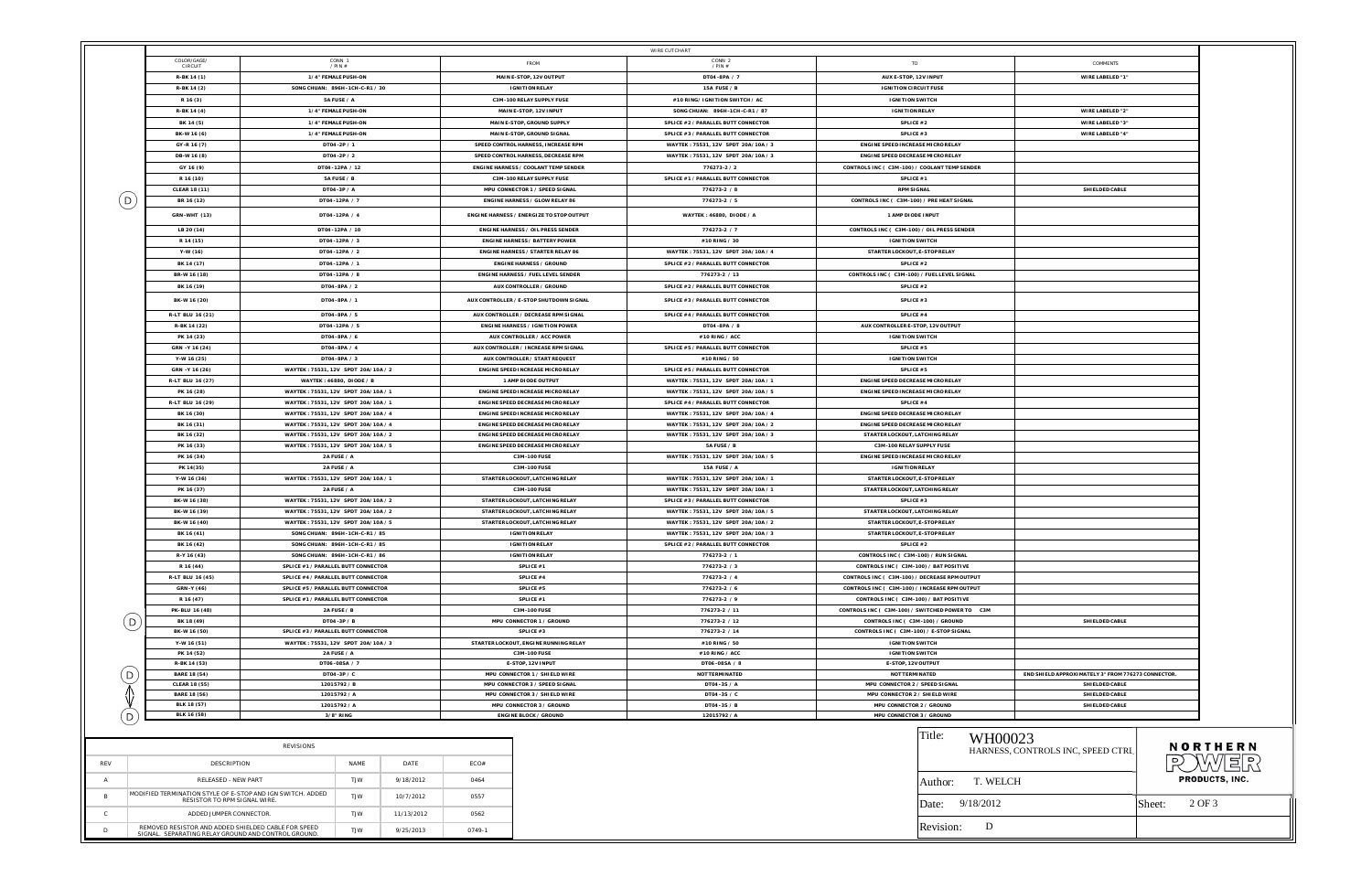|                                  | COMMENTS                                                              |                  |                                           |
|----------------------------------|-----------------------------------------------------------------------|------------------|-------------------------------------------|
| <b>2V INPUT</b>                  | WIRE LABELED "1"                                                      |                  |                                           |
| <b>UITFUSE</b>                   |                                                                       |                  |                                           |
| WITCH                            |                                                                       |                  |                                           |
| <b>RELAY</b>                     | <b>WIRE LABELED "2"</b>                                               |                  |                                           |
| #2                               | WIRE LABELED "3"                                                      |                  |                                           |
| #3                               | <b>WIRE LABELED "4"</b>                                               |                  |                                           |
| SE MICRO RELAY                   |                                                                       |                  |                                           |
| <i><b>SE MICRO RELAY</b></i>     |                                                                       |                  |                                           |
| <b>COOLANT TEMP SENDER</b><br>#1 |                                                                       |                  |                                           |
| NAL                              | <b>SHIELDED CABLE</b>                                                 |                  |                                           |
| ) / PRE HEAT SIGNAL              |                                                                       |                  |                                           |
|                                  |                                                                       |                  |                                           |
| <b>INPUT</b>                     |                                                                       |                  |                                           |
| √ OIL PRESS SENDER               |                                                                       |                  |                                           |
| WITCH                            |                                                                       |                  |                                           |
| E-STOP RELAY                     |                                                                       |                  |                                           |
| #2                               |                                                                       |                  |                                           |
| / FUEL LEVEL SIGNAL              |                                                                       |                  |                                           |
| #2                               |                                                                       |                  |                                           |
| #3                               |                                                                       |                  |                                           |
| #4                               |                                                                       |                  |                                           |
| OP, 12VOUTPUT                    |                                                                       |                  |                                           |
| WITCH                            |                                                                       |                  |                                           |
| #5                               |                                                                       |                  |                                           |
| WITCH                            |                                                                       |                  |                                           |
| #5                               |                                                                       |                  |                                           |
| <b>SE MICRO RELAY</b>            |                                                                       |                  |                                           |
| SE MICRO RELAY<br>#4             |                                                                       |                  |                                           |
| <i><b>SE MICRO RELAY</b></i>     |                                                                       |                  |                                           |
| <b>SE MICRO RELAY</b>            |                                                                       |                  |                                           |
| <b>ITCHING RELAY</b>             |                                                                       |                  |                                           |
| <b>UPPLY FUSE</b>                |                                                                       |                  |                                           |
| SE MICRO RELAY                   |                                                                       |                  |                                           |
| <b>RELAY</b>                     |                                                                       |                  |                                           |
| E-STOPRELAY                      |                                                                       |                  |                                           |
| <b>ITCHING RELAY</b>             |                                                                       |                  |                                           |
| #3                               |                                                                       |                  |                                           |
| <b>ITCHING RELAY</b>             |                                                                       |                  |                                           |
| E-STOPRELAY                      |                                                                       |                  |                                           |
| E-STOP RELAY                     |                                                                       |                  |                                           |
| #2<br>00) / RUN SIGNAL           |                                                                       |                  |                                           |
| <b>00) / BAT POSITIVE</b>        |                                                                       |                  |                                           |
| <b>DECREASE RPM OUTPUT</b>       |                                                                       |                  |                                           |
| <b>INCREASE RPM OUTPUT</b>       |                                                                       |                  |                                           |
| 00) / BAT POSITIVE               |                                                                       |                  |                                           |
| WITCHED POWER TO<br>C3M          |                                                                       |                  |                                           |
| -100) / GROUND                   | SHI ELDED CABLE                                                       |                  |                                           |
| 0) / E-STOP SIGNAL               |                                                                       |                  |                                           |
| WITCH                            |                                                                       |                  |                                           |
| WITCH                            |                                                                       |                  |                                           |
| OUTPUT<br><b>NATED</b>           |                                                                       |                  |                                           |
| <b>SPEED SIGNAL</b>              | END SHIELD APPROXIMATELY 3" FROM 776273 CONNECTOR.<br>SHI ELDED CABLE |                  |                                           |
| <b>SHIELD WIRE</b>               | <b>SHIELDED CABLE</b>                                                 |                  |                                           |
| 2 / GROUND                       | <b>SHIELDED CABLE</b>                                                 |                  |                                           |
| 3 / GROUND                       |                                                                       |                  |                                           |
|                                  |                                                                       |                  |                                           |
| Title:<br>WH00023                | HARNESS, CONTROLS INC, SPEED CTRL                                     | $\mathbf{D}$     | <b>NORTHERN</b><br>/V/E<br>$\overline{R}$ |
| Author:<br>T. WELCH              |                                                                       |                  | PRODUCTS, INC.                            |
| 9/18/2012<br>Date:               |                                                                       | 2 OF 3<br>Sheet: |                                           |
| Revision:<br>D                   |                                                                       |                  |                                           |
|                                  |                                                                       |                  |                                           |

|                                                          |                                                                                   |                                                                                                                                                                                                                                                                                                                                                                        |                                        |                                                                                                                                          |                                                                                   |                                                 | WIRE CUTCHART                                                                                                     |                                                                             |                                           |                                                                            |        |
|----------------------------------------------------------|-----------------------------------------------------------------------------------|------------------------------------------------------------------------------------------------------------------------------------------------------------------------------------------------------------------------------------------------------------------------------------------------------------------------------------------------------------------------|----------------------------------------|------------------------------------------------------------------------------------------------------------------------------------------|-----------------------------------------------------------------------------------|-------------------------------------------------|-------------------------------------------------------------------------------------------------------------------|-----------------------------------------------------------------------------|-------------------------------------------|----------------------------------------------------------------------------|--------|
|                                                          | COLOR/GAGE/<br>CIRCUIT                                                            |                                                                                                                                                                                                                                                                                                                                                                        | CONN 1<br>/ $PIN#$                     |                                                                                                                                          |                                                                                   | FROM                                            | CONN 2<br>/ $PIN#$                                                                                                |                                                                             | TO                                        | COMMENTS                                                                   |        |
|                                                          | R-BK 14 (1)                                                                       |                                                                                                                                                                                                                                                                                                                                                                        | 1/4" FEMALE PUSH-ON                    |                                                                                                                                          |                                                                                   | MAIN E-STOP, 12V OUTPUT                         | DT04-8PA / 7                                                                                                      | AUX E-STOP, 12V INPUT                                                       |                                           | <b>WIRE LABELED "1"</b>                                                    |        |
|                                                          | R-BK 14 (2)                                                                       |                                                                                                                                                                                                                                                                                                                                                                        | SONG CHUAN: 896H - 1CH - C-R1 / 30     |                                                                                                                                          |                                                                                   | <b>IGNITION RELAY</b>                           | 15A FUSE / B                                                                                                      | <b>IGNITION CIRCUIT FUSE</b>                                                |                                           |                                                                            |        |
|                                                          | R 16 (3)                                                                          |                                                                                                                                                                                                                                                                                                                                                                        | 5A FUSE / A                            |                                                                                                                                          |                                                                                   | C3M-100 RELAY SUPPLY FUSE                       | #10 RING/IGNITION SWITCH/AC                                                                                       |                                                                             | <b>IGNITION SWITCH</b>                    |                                                                            |        |
|                                                          | R-BK 14 (4)                                                                       |                                                                                                                                                                                                                                                                                                                                                                        | 1/4" FEMALE PUSH-ON                    |                                                                                                                                          |                                                                                   | MAINE-STOP, 12V INPUT                           | SONG CHUAN: 896H-1CH-C-R1 / 87                                                                                    | <b>IGNITION RELAY</b>                                                       |                                           | <b>WIRE LABELED "2"</b>                                                    |        |
|                                                          | BK 14 (5)                                                                         |                                                                                                                                                                                                                                                                                                                                                                        | 1/4" FEMALE PUSH-ON                    |                                                                                                                                          |                                                                                   | MAINE-STOP, GROUND SUPPLY                       | SPLICE #2 / PARALLEL BUTT CONNECTOR                                                                               |                                                                             | SPLICE #2                                 | <b>WIRE LABELED "3"</b>                                                    |        |
|                                                          | BK-W 16 (6)                                                                       |                                                                                                                                                                                                                                                                                                                                                                        | 1/4" FEMALE PUSH-ON                    |                                                                                                                                          |                                                                                   | MAINE-STOP, GROUND SIGNAL                       | SPLICE #3 / PARALLEL BUTT CONNECTOR                                                                               |                                                                             | SPLICE #3                                 | <b>WIRE LABELED "4"</b>                                                    |        |
|                                                          | GY-R 16 (7)                                                                       | DT04-2P / 1                                                                                                                                                                                                                                                                                                                                                            |                                        | SPEED CONTROL HARNESS, INCREASE RPM                                                                                                      |                                                                                   | WAYTEK: 75531, 12V SPDT 20A/10A / 3             | <b>ENGINE SPEED INCREASE MICRO RELAY</b>                                                                          |                                                                             |                                           |                                                                            |        |
|                                                          | DB-W 16 (8)                                                                       |                                                                                                                                                                                                                                                                                                                                                                        | DT04-2P / 2                            |                                                                                                                                          |                                                                                   | <b>SPEED CONTROL HARNESS, DECREASE RPM</b>      | WAYTEK: 75531, 12V SPDT 20A/10A / 3                                                                               | ENGINE SPEED DECREASE MICRO RELAY                                           |                                           |                                                                            |        |
|                                                          | GY 16 (9)                                                                         |                                                                                                                                                                                                                                                                                                                                                                        | DT04-12PA / 12                         |                                                                                                                                          |                                                                                   | <b>ENGINE HARNESS / COOLANT TEMP SENDER</b>     | 776273-2/2                                                                                                        | CONTROLS INC ( C3M-100) / COOLANT TEMP SENDER                               |                                           |                                                                            |        |
|                                                          | R 16 (10)                                                                         | 5A FUSE / B                                                                                                                                                                                                                                                                                                                                                            |                                        |                                                                                                                                          | C3M-100 RELAY SUPPLY FUSE                                                         |                                                 | SPLICE #1 / PARALLEL BUTT CONNECTOR                                                                               | SPLICE #1                                                                   |                                           |                                                                            |        |
| . D                                                      | <b>CLEAR 18 (11)</b>                                                              | DT04-3P / A<br>DT04-12PA / 7                                                                                                                                                                                                                                                                                                                                           |                                        |                                                                                                                                          | MPU CONNECTOR 1 / SPEED SIGNAL<br>ENGINE HARNESS / GLOW RELAY 86                  |                                                 | 776273-2 / 8                                                                                                      | <b>RPM SIGNAL</b>                                                           |                                           | SHI ELDED CABLE                                                            |        |
|                                                          | BR 16 (12)                                                                        |                                                                                                                                                                                                                                                                                                                                                                        |                                        |                                                                                                                                          |                                                                                   |                                                 | 776273-2 / 5                                                                                                      |                                                                             | CONTROLS INC ( C3M-100) / PRE HEAT SIGNAL |                                                                            |        |
|                                                          | <b>GRN-WHT (13)</b>                                                               |                                                                                                                                                                                                                                                                                                                                                                        | DT04-12PA / 4                          |                                                                                                                                          |                                                                                   | <b>ENGINE HARNESS / ENERGIZE TO STOP OUTPUT</b> | WAYTEK: 46880, DIODE / A                                                                                          |                                                                             | 1 AMP DIODE INPUT                         |                                                                            |        |
|                                                          | LB 20 (14)                                                                        |                                                                                                                                                                                                                                                                                                                                                                        | DT04-12PA / 10                         |                                                                                                                                          |                                                                                   | <b>ENGINE HARNESS / OIL PRESS SENDER</b>        | 776273-2 / 7                                                                                                      | CONTROLS INC ( C3M-100) / OIL PRESS SENDER                                  |                                           |                                                                            |        |
|                                                          | R 14 (15)                                                                         |                                                                                                                                                                                                                                                                                                                                                                        | DT04-12PA / 3                          |                                                                                                                                          |                                                                                   | <b>ENGINE HARNESS / BATTERY POWER</b>           | #10 RING / 30                                                                                                     |                                                                             | <b>IGNITION SWITCH</b>                    |                                                                            |        |
|                                                          | Y-W (16)                                                                          | DT04-12PA / 2                                                                                                                                                                                                                                                                                                                                                          |                                        |                                                                                                                                          | ENGINE HARNESS / STARTER RELAY 86                                                 |                                                 | WAYTEK: 75531, 12V SPDT 20A/10A / 4                                                                               | STARTER LOCKOUT, E-STOP RELAY                                               |                                           |                                                                            |        |
|                                                          | BK 14 (17)                                                                        |                                                                                                                                                                                                                                                                                                                                                                        | DT04-12PA / 1                          |                                                                                                                                          | <b>ENGINE HARNESS / GROUND</b>                                                    |                                                 | SPLICE #2 / PARALLEL BUTT CONNECTOR                                                                               | SPLICE #2                                                                   |                                           |                                                                            |        |
|                                                          | BR-W 16 (18)                                                                      | DT04-12PA / 8                                                                                                                                                                                                                                                                                                                                                          |                                        |                                                                                                                                          |                                                                                   | <b>ENGINE HARNESS / FUEL LEVEL SENDER</b>       |                                                                                                                   | 776273-2 / 13<br>CONTROLS INC ( C3M-100) / FUEL LEVEL SIGNAL                |                                           |                                                                            |        |
|                                                          | BK 16 (19)                                                                        | DT04-8PA / 2                                                                                                                                                                                                                                                                                                                                                           |                                        |                                                                                                                                          |                                                                                   | AUX CONTROLLER / GROUND                         | SPLICE #2 / PARALLEL BUTT CONNECTOR                                                                               | SPLICE #2                                                                   |                                           |                                                                            |        |
|                                                          | BK-W 16 (20)                                                                      | DT04-8PA / 1                                                                                                                                                                                                                                                                                                                                                           |                                        |                                                                                                                                          | AUX CONTROLLER / E-STOP SHUTDOWN SIGNAL                                           |                                                 | SPLICE #3 / PARALLEL BUTT CONNECTOR                                                                               |                                                                             | SPLICE #3                                 |                                                                            |        |
|                                                          | R-LT BLU 16 (21)                                                                  | DT04-8PA / 5                                                                                                                                                                                                                                                                                                                                                           |                                        |                                                                                                                                          | AUX CONTROLLER / DECREASE RPM SIGNAL                                              |                                                 | SPLICE #4 / PARALLEL BUTT CONNECTOR                                                                               |                                                                             | SPLICE #4                                 |                                                                            |        |
|                                                          | R-BK 14 (22)                                                                      | DT04-12PA / 5                                                                                                                                                                                                                                                                                                                                                          |                                        |                                                                                                                                          | <b>ENGINE HARNESS / IGNITION POWER</b>                                            |                                                 | DT04-8PA / 8                                                                                                      |                                                                             |                                           |                                                                            |        |
|                                                          | PK 14 (23)                                                                        |                                                                                                                                                                                                                                                                                                                                                                        |                                        |                                                                                                                                          | AUX CONTROLLER / ACC POWER                                                        |                                                 | #10 RING / ACC                                                                                                    | AUX CONTROLLERE-STOP, 12VOUTPUT<br><b>IGNITION SWITCH</b>                   |                                           |                                                                            |        |
|                                                          | GRN - Y 16 (24)                                                                   | DT04-8PA / 6<br>DT04-8PA / 4                                                                                                                                                                                                                                                                                                                                           |                                        |                                                                                                                                          |                                                                                   |                                                 | SPLICE #5 / PARALLEL BUTT CONNECTOR                                                                               |                                                                             | SPLICE #5                                 |                                                                            |        |
|                                                          | Y-W 16 (25)                                                                       | DT04-8PA / 3                                                                                                                                                                                                                                                                                                                                                           |                                        |                                                                                                                                          | AUX CONTROLLER / INCREASE RPM SIGNAL<br>AUX CONTROLLER / START REQUEST            |                                                 | #10 RING / 50                                                                                                     |                                                                             |                                           |                                                                            |        |
|                                                          | GRN - Y 16 (26)                                                                   |                                                                                                                                                                                                                                                                                                                                                                        |                                        |                                                                                                                                          |                                                                                   | <b>ENGINE SPEED INCREASE MICRO RELAY</b>        | SPLICE #5 / PARALLEL BUTT CONNECTOR                                                                               | <b>IGNITION SWITCH</b><br>SPLICE #5                                         |                                           |                                                                            |        |
|                                                          | R-LT BLU 16 (27)                                                                  | WAYTEK: 75531, 12V SPDT 20A/10A / 2<br>WAYTEK: 46880, DIODE / B                                                                                                                                                                                                                                                                                                        |                                        |                                                                                                                                          |                                                                                   | 1 AMP DIODE OUTPUT                              | WAYTEK: 75531, 12V SPDT 20A/10A / 1                                                                               | <b>ENGINE SPEED DECREASE MICRO RELAY</b>                                    |                                           |                                                                            |        |
|                                                          | PK 16 (28)                                                                        | WAYTEK: 75531, 12V SPDT 20A/10A / 1                                                                                                                                                                                                                                                                                                                                    |                                        |                                                                                                                                          |                                                                                   | <b>ENGINE SPEED INCREASE MICRO RELAY</b>        | WAYTEK: 75531, 12V SPDT 20A/10A / 5                                                                               | <b>ENGINE SPEED INCREASE MICRO RELAY</b>                                    |                                           |                                                                            |        |
|                                                          | R-LT BLU 16 (29)                                                                  | WAYTEK: 75531, 12V SPDT 20A/10A / 1                                                                                                                                                                                                                                                                                                                                    |                                        |                                                                                                                                          |                                                                                   | <b>ENGINE SPEED DECREASE MICRORELAY</b>         | SPLICE #4 / PARALLEL BUTT CONNECTOR                                                                               | SPLICE #4                                                                   |                                           |                                                                            |        |
|                                                          | BK 16 (30)                                                                        | WAYTEK: 75531, 12V SPDT 20A/10A / 4                                                                                                                                                                                                                                                                                                                                    |                                        |                                                                                                                                          |                                                                                   | <b>ENGINE SPEED INCREASE MICRO RELAY</b>        | WAYTEK: 75531, 12V SPDT 20A/10A / 4                                                                               | <b>ENGINE SPEED DECREASE MICRO RELAY</b>                                    |                                           |                                                                            |        |
|                                                          | BK 16 (31)                                                                        | WAYTEK: 75531, 12V SPDT 20A/10A / 4                                                                                                                                                                                                                                                                                                                                    |                                        |                                                                                                                                          |                                                                                   | <b>ENGINE SPEED DECREASE MICRORELAY</b>         | WAYTEK: 75531, 12V SPDT 20A/10A / 2                                                                               | <b>ENGINE SPEED DECREASE MICRO RELAY</b>                                    |                                           |                                                                            |        |
|                                                          | BK 16 (32)                                                                        | WAYTEK: 75531, 12V SPDT 20A/10A / 2                                                                                                                                                                                                                                                                                                                                    |                                        |                                                                                                                                          | <b>ENGINE SPEED DECREASE MICRORELAY</b>                                           |                                                 | WAYTEK: 75531, 12V SPDT 20A/10A / 3                                                                               | STARTER LOCKOUT, LATCHING RELAY                                             |                                           |                                                                            |        |
|                                                          | PK 16 (33)                                                                        | WAYTEK: 75531, 12V SPDT 20A/10A/5                                                                                                                                                                                                                                                                                                                                      |                                        |                                                                                                                                          | <b>ENGINE SPEED DECREASE MICRORELAY</b>                                           |                                                 | 5A FUSE / B                                                                                                       | C3M-100 RELAY SUPPLY FUSE                                                   |                                           |                                                                            |        |
|                                                          | PK 16 (34)                                                                        | 2A FUSE / A                                                                                                                                                                                                                                                                                                                                                            |                                        |                                                                                                                                          | <b>C3M-100 FUSE</b>                                                               |                                                 | WAYTEK: 75531, 12V SPDT 20A/10A / 5                                                                               | <b>ENGINE SPEED INCREASE MICRO RELAY</b>                                    |                                           |                                                                            |        |
|                                                          | PK 14(35)                                                                         | 2A FUSE / A<br>WAYTEK: 75531, 12V SPDT 20A/10A / 1                                                                                                                                                                                                                                                                                                                     |                                        |                                                                                                                                          | <b>C3M-100 FUSE</b><br>STARTER LOCKOUT, LATCHING RELAY                            |                                                 | 15A FUSE / A                                                                                                      | <b>IGNITION RELAY</b>                                                       |                                           |                                                                            |        |
|                                                          | Y-W 16 (36)                                                                       |                                                                                                                                                                                                                                                                                                                                                                        |                                        |                                                                                                                                          |                                                                                   |                                                 | WAYTEK: 75531, 12V SPDT 20A/10A / 1                                                                               | STARTER LOCKOUT, E-STOP RELAY                                               |                                           |                                                                            |        |
|                                                          | PK 16 (37)                                                                        | 2A FUSE / A                                                                                                                                                                                                                                                                                                                                                            |                                        |                                                                                                                                          | WAYTEK: 75531, 12V SPDT 20A/10A / 1<br><b>C3M-100 FUSE</b>                        |                                                 | STARTER LOCKOUT, LATCHING RELAY                                                                                   |                                                                             |                                           |                                                                            |        |
|                                                          | BK-W 16 (38)                                                                      | WAYTEK: 75531, 12V SPDT 20A/10A / 2<br>WAYTEK: 75531, 12V SPDT 20A/10A / 2<br>WAYTEK: 75531, 12V SPDT 20A/10A/5<br>SONG CHUAN: 896H-1CH-C-R1 / 85<br>SONG CHUAN: 896H-1CH-C-R1 / 85                                                                                                                                                                                    |                                        |                                                                                                                                          | STARTER LOCKOUT, LATCHING RELAY                                                   |                                                 | SPLICE #3 / PARALLEL BUTT CONNECTOR                                                                               | SPLICE #3                                                                   |                                           |                                                                            |        |
|                                                          | BK-W 16 (39)                                                                      |                                                                                                                                                                                                                                                                                                                                                                        |                                        | STARTER LOCKOUT, LATCHING RELAY                                                                                                          |                                                                                   | WAYTEK: 75531, 12V SPDT 20A/10A / 5             | STARTER LOCKOUT, LATCHING RELAY                                                                                   |                                                                             |                                           |                                                                            |        |
|                                                          | BK-W 16 (40)                                                                      |                                                                                                                                                                                                                                                                                                                                                                        |                                        |                                                                                                                                          | STARTER LOCKOUT, LATCHING RELAY<br><b>IGNITION RELAY</b><br><b>IGNITION RELAY</b> |                                                 | WAYTEK: 75531, 12V SPDT 20A/10A / 2<br>WAYTEK: 75531, 12V SPDT 20A/10A / 3<br>SPLICE #2 / PARALLEL BUTT CONNECTOR | STARTER LOCKOUT, E-STOP RELAY<br>STARTER LOCKOUT, E-STOP RELAY<br>SPLICE #2 |                                           |                                                                            |        |
|                                                          | BK 16 (41)                                                                        |                                                                                                                                                                                                                                                                                                                                                                        |                                        |                                                                                                                                          |                                                                                   |                                                 |                                                                                                                   |                                                                             |                                           |                                                                            |        |
|                                                          | BK 16 (42)                                                                        |                                                                                                                                                                                                                                                                                                                                                                        |                                        |                                                                                                                                          |                                                                                   |                                                 |                                                                                                                   |                                                                             |                                           |                                                                            |        |
|                                                          | R-Y 16 (43)<br>SONG CHUAN: 896H-1CH-C-R1 / 86                                     |                                                                                                                                                                                                                                                                                                                                                                        |                                        | <b>IGNITION RELAY</b><br>SPLICE #1                                                                                                       |                                                                                   | 776273-2 / 1                                    | CONTROLS INC ( C3M-100) / RUN SIGNAL<br>CONTROLS INC ( C3M-100) / BAT POSITIVE                                    |                                                                             |                                           |                                                                            |        |
|                                                          | R 16 (44)                                                                         | SPLICE #1 / PARALLEL BUTT CONNECTOR                                                                                                                                                                                                                                                                                                                                    |                                        |                                                                                                                                          |                                                                                   | 776273-2 / 3                                    |                                                                                                                   |                                                                             |                                           |                                                                            |        |
|                                                          | R-LT BLU 16 (45)                                                                  | SPLICE #4 / PARALLEL BUTT CONNECTOR                                                                                                                                                                                                                                                                                                                                    |                                        |                                                                                                                                          |                                                                                   | 776273-2 / 4<br>SPLICE #4                       |                                                                                                                   | CONTROLS INC ( C3M-100) / DECREASE RPM OUTPUT                               |                                           |                                                                            |        |
|                                                          | GRN-Y (46)                                                                        | SPLICE #5 / PARALLEL BUTT CONNECTOR<br>R 16 (47)<br>SPLICE #1 / PARALLEL BUTT CONNECTOR<br>PK-BLU 16 (48)<br>2A FUSE / B<br>BK 18 (49)<br>DT04 - 3P / B<br>SPLICE #3 / PARALLEL BUTT CONNECTOR<br>BK-W 16 (50)<br>Y-W 16 (51)<br>WAYTEK: 75531, 12V SPDT 20A/10A/3<br>PK 14 (52)<br>2A FUSE / A<br>DT06-08SA / 7<br>R-BK 14 (53)<br>DT04-3P / C<br><b>BARE 18 (54)</b> |                                        | SPLICE #5<br>SPLICE #1<br>C3M-100 FUSE<br>MPU CONNECTOR 1 / GROUND<br>SPLICE #3<br>STARTER LOCKOUT, ENGINE RUNNING RELAY<br>C3M-100 FUSE |                                                                                   | 776273-2 / 6                                    | CONTROLS INC ( C3M-100) / INCREASE RPM OUTPUT                                                                     |                                                                             |                                           |                                                                            |        |
|                                                          |                                                                                   |                                                                                                                                                                                                                                                                                                                                                                        |                                        |                                                                                                                                          |                                                                                   | 776273-2 / 9                                    | CONTROLS INC ( C3M-100) / BAT POSITIVE                                                                            |                                                                             |                                           |                                                                            |        |
|                                                          |                                                                                   |                                                                                                                                                                                                                                                                                                                                                                        |                                        |                                                                                                                                          |                                                                                   | 776273-2 / 11                                   | CONTROLS INC ( C3M-100) / SWITCHED POWER TO C3M                                                                   |                                                                             |                                           |                                                                            |        |
|                                                          | $\mathsf{D}$                                                                      |                                                                                                                                                                                                                                                                                                                                                                        |                                        |                                                                                                                                          |                                                                                   | 776273-2 / 12                                   |                                                                                                                   | CONTROLS INC ( C3M-100) / GROUND                                            | <b>SHIELDED CABLE</b>                     |                                                                            |        |
|                                                          |                                                                                   |                                                                                                                                                                                                                                                                                                                                                                        |                                        |                                                                                                                                          |                                                                                   | 776273-2 / 14                                   | CONTROLS INC ( C3M-100) / E-STOP SIGNAL<br><b>IGNITION SWITCH</b><br><b>IGNITION SWITCH</b>                       |                                                                             |                                           |                                                                            |        |
|                                                          |                                                                                   |                                                                                                                                                                                                                                                                                                                                                                        |                                        |                                                                                                                                          |                                                                                   | #10 RING / 50                                   |                                                                                                                   |                                                                             |                                           |                                                                            |        |
|                                                          |                                                                                   |                                                                                                                                                                                                                                                                                                                                                                        |                                        |                                                                                                                                          |                                                                                   | #10 RING / ACC                                  |                                                                                                                   |                                                                             |                                           |                                                                            |        |
|                                                          |                                                                                   |                                                                                                                                                                                                                                                                                                                                                                        |                                        |                                                                                                                                          | E-STOP, 12V INPUT<br>MPU CONNECTOR 1 / SHIELD WIRE                                |                                                 | DT06-08SA / 8                                                                                                     | E-STOP, 12VOUTPUT<br><b>NOT TERMINATED</b>                                  |                                           |                                                                            |        |
|                                                          | D                                                                                 |                                                                                                                                                                                                                                                                                                                                                                        |                                        |                                                                                                                                          |                                                                                   |                                                 | <b>NOT TERMINATED</b>                                                                                             |                                                                             |                                           | END SHIELD APPROXIMATELY 3" FROM 776273 CONNECTOR<br><b>SHIELDED CABLE</b> |        |
|                                                          | 12015792 / B<br>CLEAR 18 (55)                                                     |                                                                                                                                                                                                                                                                                                                                                                        |                                        | MPU CONNECTOR 3 / SPEED SIGNAL                                                                                                           |                                                                                   | DT04-3S / A                                     |                                                                                                                   | MPU CONNECTOR 2 / SPEED SIGNAL                                              |                                           |                                                                            |        |
|                                                          | <b>BARE 18 (56)</b>                                                               | 12015792 / A<br>12015792 / A<br>3/8" RING                                                                                                                                                                                                                                                                                                                              |                                        |                                                                                                                                          | MPU CONNECTOR 3 / SHIELD WIRE                                                     |                                                 | DT04 -3S / C                                                                                                      | MPU CONNECTOR 2 / SHIELD WIRE                                               |                                           | <b>SHIELDED CABLE</b>                                                      |        |
|                                                          | BLK 18 (57)<br><b>BLK 16 (58)</b>                                                 |                                                                                                                                                                                                                                                                                                                                                                        |                                        | MPU CONNECTOR 3 / GROUND<br><b>ENGINE BLOCK / GROUND</b>                                                                                 |                                                                                   | DT04-3S / B<br>12015792 / A                     | MPU CONNECTOR 2 / GROUND<br>MPU CONNECTOR 3 / GROUND                                                              |                                                                             | <b>SHIELDED CABLE</b>                     |                                                                            |        |
|                                                          | D                                                                                 |                                                                                                                                                                                                                                                                                                                                                                        |                                        |                                                                                                                                          |                                                                                   |                                                 |                                                                                                                   |                                                                             |                                           |                                                                            |        |
| <b>REVISIONS</b>                                         |                                                                                   |                                                                                                                                                                                                                                                                                                                                                                        |                                        |                                                                                                                                          |                                                                                   |                                                 |                                                                                                                   |                                                                             |                                           | Title:<br>WH00023<br>HARNESS, CONTROLS INC, SPEED CTRI                     |        |
| REV                                                      | <b>DESCRIPTION</b>                                                                |                                                                                                                                                                                                                                                                                                                                                                        | NAME                                   | DATE                                                                                                                                     | ECO#                                                                              |                                                 |                                                                                                                   |                                                                             |                                           |                                                                            | F      |
| A                                                        | RELEASED - NEW PART<br>MODIFIED TERMINATION STYLE OF E-STOP AND IGN SWITCH. ADDED |                                                                                                                                                                                                                                                                                                                                                                        | TJW                                    | 9/18/2012                                                                                                                                | 0464                                                                              |                                                 |                                                                                                                   |                                                                             | T. WELCH<br>Author:                       |                                                                            |        |
| B                                                        | RESISTOR TO RPM SIGNAL WIRE.                                                      |                                                                                                                                                                                                                                                                                                                                                                        | TJW                                    | 10/7/2012                                                                                                                                | 0557                                                                              |                                                 |                                                                                                                   |                                                                             | 9/18/2012<br>Date:                        |                                                                            | Sheet: |
| $\mathsf{C}$                                             | ADDED JUMPER CONNECTOR.<br>REMOVED RESISTOR AND ADDED SHIELDED CABLE FOR SPEED    |                                                                                                                                                                                                                                                                                                                                                                        | <b>TJW</b><br>11/13/2012<br><b>TJW</b> |                                                                                                                                          | 0562                                                                              |                                                 |                                                                                                                   | D<br>Revision:                                                              |                                           |                                                                            |        |
| D<br>SIGNAL. SEPARATING RELAY GROUND AND CONTROL GROUND. |                                                                                   |                                                                                                                                                                                                                                                                                                                                                                        | 9/25/2013<br>0749-1                    |                                                                                                                                          |                                                                                   |                                                 |                                                                                                                   |                                                                             |                                           |                                                                            |        |